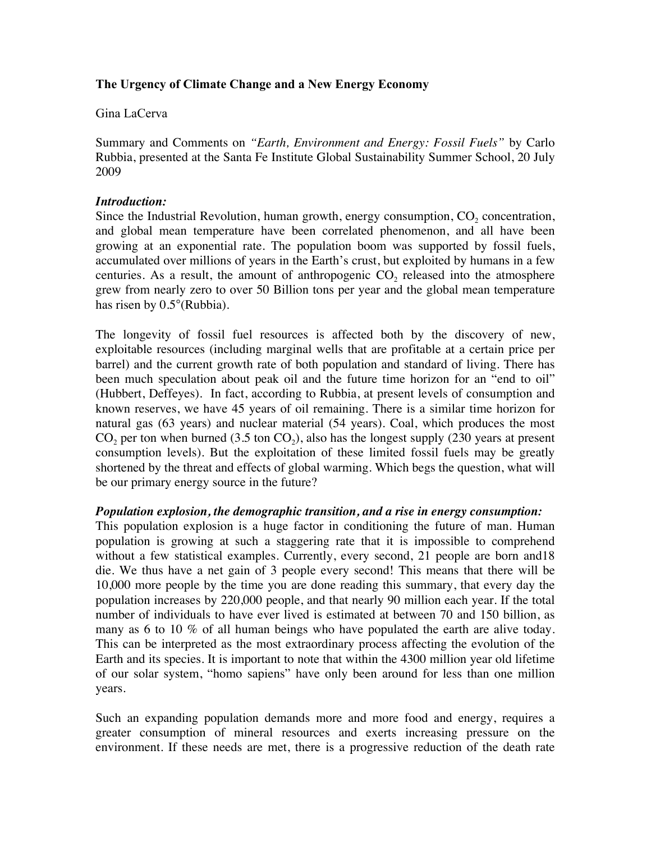# **The Urgency of Climate Change and a New Energy Economy**

# Gina LaCerva

Summary and Comments on *"Earth, Environment and Energy: Fossil Fuels"* by Carlo Rubbia, presented at the Santa Fe Institute Global Sustainability Summer School, 20 July 2009

### *Introduction:*

Since the Industrial Revolution, human growth, energy consumption,  $CO<sub>2</sub>$  concentration, and global mean temperature have been correlated phenomenon, and all have been growing at an exponential rate. The population boom was supported by fossil fuels, accumulated over millions of years in the Earth's crust, but exploited by humans in a few centuries. As a result, the amount of anthropogenic  $CO<sub>2</sub>$  released into the atmosphere grew from nearly zero to over 50 Billion tons per year and the global mean temperature has risen by 0.5°(Rubbia).

The longevity of fossil fuel resources is affected both by the discovery of new, exploitable resources (including marginal wells that are profitable at a certain price per barrel) and the current growth rate of both population and standard of living. There has been much speculation about peak oil and the future time horizon for an "end to oil" (Hubbert, Deffeyes). In fact, according to Rubbia, at present levels of consumption and known reserves, we have 45 years of oil remaining. There is a similar time horizon for natural gas (63 years) and nuclear material (54 years). Coal, which produces the most  $CO<sub>2</sub>$  per ton when burned (3.5 ton  $CO<sub>2</sub>$ ), also has the longest supply (230 years at present consumption levels). But the exploitation of these limited fossil fuels may be greatly shortened by the threat and effects of global warming. Which begs the question, what will be our primary energy source in the future?

# *Population explosion, the demographic transition, and a rise in energy consumption:*

This population explosion is a huge factor in conditioning the future of man. Human population is growing at such a staggering rate that it is impossible to comprehend without a few statistical examples. Currently, every second, 21 people are born and18 die. We thus have a net gain of 3 people every second! This means that there will be 10,000 more people by the time you are done reading this summary, that every day the population increases by 220,000 people, and that nearly 90 million each year. If the total number of individuals to have ever lived is estimated at between 70 and 150 billion, as many as 6 to 10 % of all human beings who have populated the earth are alive today. This can be interpreted as the most extraordinary process affecting the evolution of the Earth and its species. It is important to note that within the 4300 million year old lifetime of our solar system, "homo sapiens" have only been around for less than one million years.

Such an expanding population demands more and more food and energy, requires a greater consumption of mineral resources and exerts increasing pressure on the environment. If these needs are met, there is a progressive reduction of the death rate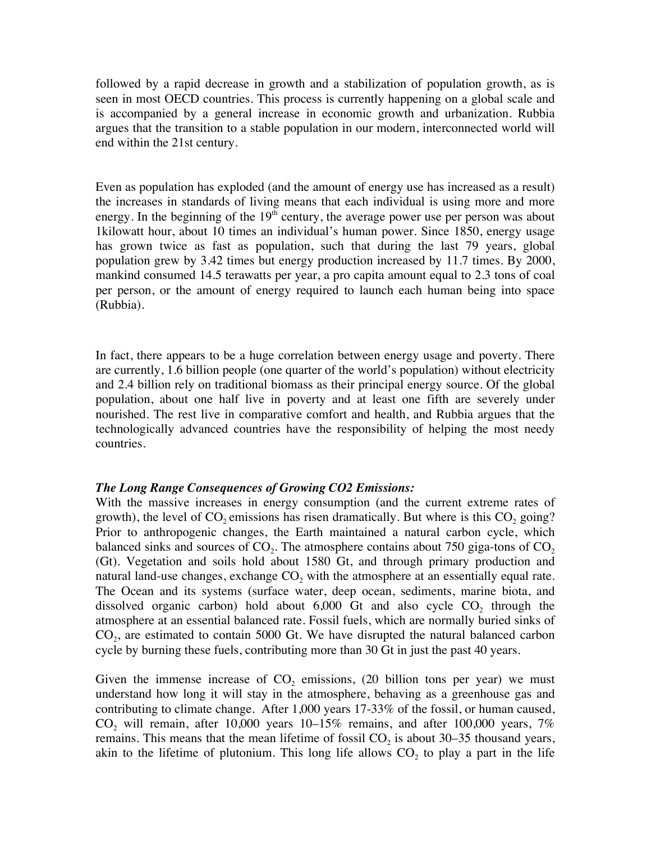followed by a rapid decrease in growth and a stabilization of population growth, as is seen in most OECD countries. This process is currently happening on a global scale and is accompanied by a general increase in economic growth and urbanization. Rubbia argues that the transition to a stable population in our modern, interconnected world will end within the 21st century.

Even as population has exploded (and the amount of energy use has increased as a result) the increases in standards of living means that each individual is using more and more energy. In the beginning of the  $19<sup>th</sup>$  century, the average power use per person was about 1kilowatt hour, about 10 times an individual's human power. Since 1850, energy usage has grown twice as fast as population, such that during the last 79 years, global population grew by 3.42 times but energy production increased by 11.7 times. By 2000, mankind consumed 14.5 terawatts per year, a pro capita amount equal to 2.3 tons of coal per person, or the amount of energy required to launch each human being into space (Rubbia).

In fact, there appears to be a huge correlation between energy usage and poverty. There are currently, 1.6 billion people (one quarter of the world's population) without electricity and 2.4 billion rely on traditional biomass as their principal energy source. Of the global population, about one half live in poverty and at least one fifth are severely under nourished. The rest live in comparative comfort and health, and Rubbia argues that the technologically advanced countries have the responsibility of helping the most needy countries.

#### *The Long Range Consequences of Growing CO2 Emissions:*

With the massive increases in energy consumption (and the current extreme rates of growth), the level of  $CO<sub>2</sub>$  emissions has risen dramatically. But where is this  $CO<sub>2</sub>$  going? Prior to anthropogenic changes, the Earth maintained a natural carbon cycle, which balanced sinks and sources of  $CO<sub>2</sub>$ . The atmosphere contains about 750 giga-tons of  $CO<sub>2</sub>$ (Gt). Vegetation and soils hold about 1580 Gt, and through primary production and natural land-use changes, exchange  $CO<sub>2</sub>$  with the atmosphere at an essentially equal rate. The Ocean and its systems (surface water, deep ocean, sediments, marine biota, and dissolved organic carbon) hold about  $6,000$  Gt and also cycle  $CO<sub>2</sub>$  through the atmosphere at an essential balanced rate. Fossil fuels, which are normally buried sinks of  $CO<sub>2</sub>$ , are estimated to contain 5000 Gt. We have disrupted the natural balanced carbon cycle by burning these fuels, contributing more than 30 Gt in just the past 40 years.

Given the immense increase of  $CO<sub>2</sub>$  emissions, (20 billion tons per year) we must understand how long it will stay in the atmosphere, behaving as a greenhouse gas and contributing to climate change. After 1,000 years 17-33% of the fossil, or human caused,  $CO<sub>2</sub>$  will remain, after 10,000 years 10–15% remains, and after 100,000 years, 7% remains. This means that the mean lifetime of fossil  $CO<sub>2</sub>$  is about 30–35 thousand years, akin to the lifetime of plutonium. This long life allows  $CO<sub>2</sub>$  to play a part in the life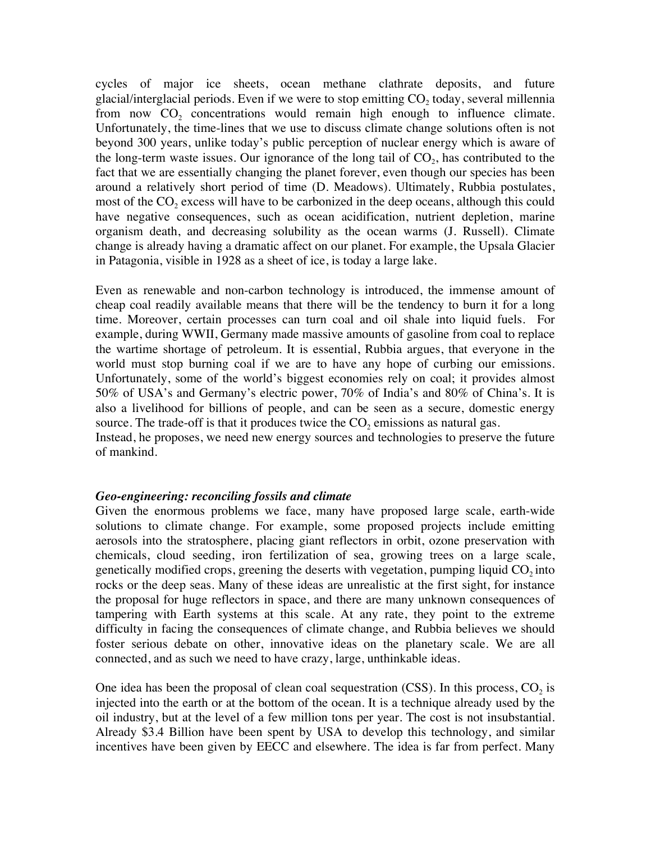cycles of major ice sheets, ocean methane clathrate deposits, and future glacial/interglacial periods. Even if we were to stop emitting  $CO<sub>2</sub>$  today, several millennia from now  $CO<sub>2</sub>$  concentrations would remain high enough to influence climate. Unfortunately, the time-lines that we use to discuss climate change solutions often is not beyond 300 years, unlike today's public perception of nuclear energy which is aware of the long-term waste issues. Our ignorance of the long tail of  $CO<sub>2</sub>$ , has contributed to the fact that we are essentially changing the planet forever, even though our species has been around a relatively short period of time (D. Meadows). Ultimately, Rubbia postulates, most of the CO<sub>2</sub> excess will have to be carbonized in the deep oceans, although this could have negative consequences, such as ocean acidification, nutrient depletion, marine organism death, and decreasing solubility as the ocean warms (J. Russell). Climate change is already having a dramatic affect on our planet. For example, the Upsala Glacier in Patagonia, visible in 1928 as a sheet of ice, is today a large lake.

Even as renewable and non-carbon technology is introduced, the immense amount of cheap coal readily available means that there will be the tendency to burn it for a long time. Moreover, certain processes can turn coal and oil shale into liquid fuels. For example, during WWII, Germany made massive amounts of gasoline from coal to replace the wartime shortage of petroleum. It is essential, Rubbia argues, that everyone in the world must stop burning coal if we are to have any hope of curbing our emissions. Unfortunately, some of the world's biggest economies rely on coal; it provides almost 50% of USA's and Germany's electric power, 70% of India's and 80% of China's. It is also a livelihood for billions of people, and can be seen as a secure, domestic energy source. The trade-off is that it produces twice the  $CO<sub>2</sub>$  emissions as natural gas.

Instead, he proposes, we need new energy sources and technologies to preserve the future of mankind.

#### *Geo-engineering: reconciling fossils and climate*

Given the enormous problems we face, many have proposed large scale, earth-wide solutions to climate change. For example, some proposed projects include emitting aerosols into the stratosphere, placing giant reflectors in orbit, ozone preservation with chemicals, cloud seeding, iron fertilization of sea, growing trees on a large scale, genetically modified crops, greening the deserts with vegetation, pumping liquid  $CO<sub>2</sub>$  into rocks or the deep seas. Many of these ideas are unrealistic at the first sight, for instance the proposal for huge reflectors in space, and there are many unknown consequences of tampering with Earth systems at this scale. At any rate, they point to the extreme difficulty in facing the consequences of climate change, and Rubbia believes we should foster serious debate on other, innovative ideas on the planetary scale. We are all connected, and as such we need to have crazy, large, unthinkable ideas.

One idea has been the proposal of clean coal sequestration  $(CSS)$ . In this process,  $CO<sub>2</sub>$  is injected into the earth or at the bottom of the ocean. It is a technique already used by the oil industry, but at the level of a few million tons per year. The cost is not insubstantial. Already \$3.4 Billion have been spent by USA to develop this technology, and similar incentives have been given by EECC and elsewhere. The idea is far from perfect. Many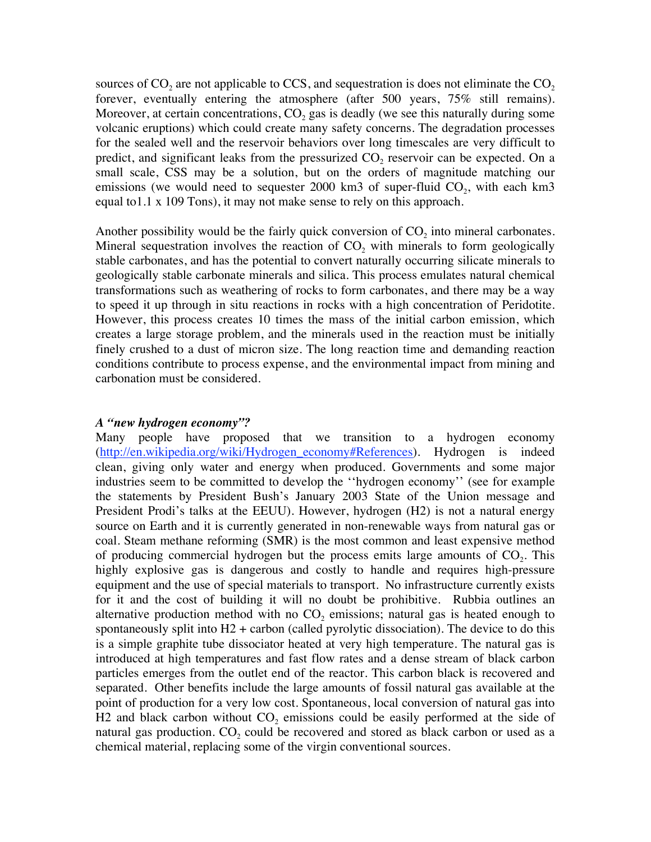sources of  $CO<sub>2</sub>$  are not applicable to CCS, and sequestration is does not eliminate the  $CO<sub>2</sub>$ forever, eventually entering the atmosphere (after 500 years, 75% still remains). Moreover, at certain concentrations,  $CO<sub>2</sub>$  gas is deadly (we see this naturally during some volcanic eruptions) which could create many safety concerns. The degradation processes for the sealed well and the reservoir behaviors over long timescales are very difficult to predict, and significant leaks from the pressurized  $CO<sub>2</sub>$  reservoir can be expected. On a small scale, CSS may be a solution, but on the orders of magnitude matching our emissions (we would need to sequester 2000 km3 of super-fluid  $CO<sub>2</sub>$ , with each km3 equal to1.1 x 109 Tons), it may not make sense to rely on this approach.

Another possibility would be the fairly quick conversion of  $CO<sub>2</sub>$  into mineral carbonates. Mineral sequestration involves the reaction of  $CO<sub>2</sub>$  with minerals to form geologically stable carbonates, and has the potential to convert naturally occurring silicate minerals to geologically stable carbonate minerals and silica. This process emulates natural chemical transformations such as weathering of rocks to form carbonates, and there may be a way to speed it up through in situ reactions in rocks with a high concentration of Peridotite. However, this process creates 10 times the mass of the initial carbon emission, which creates a large storage problem, and the minerals used in the reaction must be initially finely crushed to a dust of micron size. The long reaction time and demanding reaction conditions contribute to process expense, and the environmental impact from mining and carbonation must be considered.

#### *A "new hydrogen economy"?*

Many people have proposed that we transition to a hydrogen economy (http://en.wikipedia.org/wiki/Hydrogen\_economy#References). Hydrogen is indeed clean, giving only water and energy when produced. Governments and some major industries seem to be committed to develop the ''hydrogen economy'' (see for example the statements by President Bush's January 2003 State of the Union message and President Prodi's talks at the EEUU). However, hydrogen (H2) is not a natural energy source on Earth and it is currently generated in non-renewable ways from natural gas or coal. Steam methane reforming (SMR) is the most common and least expensive method of producing commercial hydrogen but the process emits large amounts of  $CO<sub>2</sub>$ . This highly explosive gas is dangerous and costly to handle and requires high-pressure equipment and the use of special materials to transport. No infrastructure currently exists for it and the cost of building it will no doubt be prohibitive. Rubbia outlines an alternative production method with no  $CO<sub>2</sub>$  emissions; natural gas is heated enough to spontaneously split into  $H2$  + carbon (called pyrolytic dissociation). The device to do this is a simple graphite tube dissociator heated at very high temperature. The natural gas is introduced at high temperatures and fast flow rates and a dense stream of black carbon particles emerges from the outlet end of the reactor. This carbon black is recovered and separated. Other benefits include the large amounts of fossil natural gas available at the point of production for a very low cost. Spontaneous, local conversion of natural gas into H2 and black carbon without  $CO<sub>2</sub>$  emissions could be easily performed at the side of natural gas production.  $CO<sub>2</sub>$  could be recovered and stored as black carbon or used as a chemical material, replacing some of the virgin conventional sources.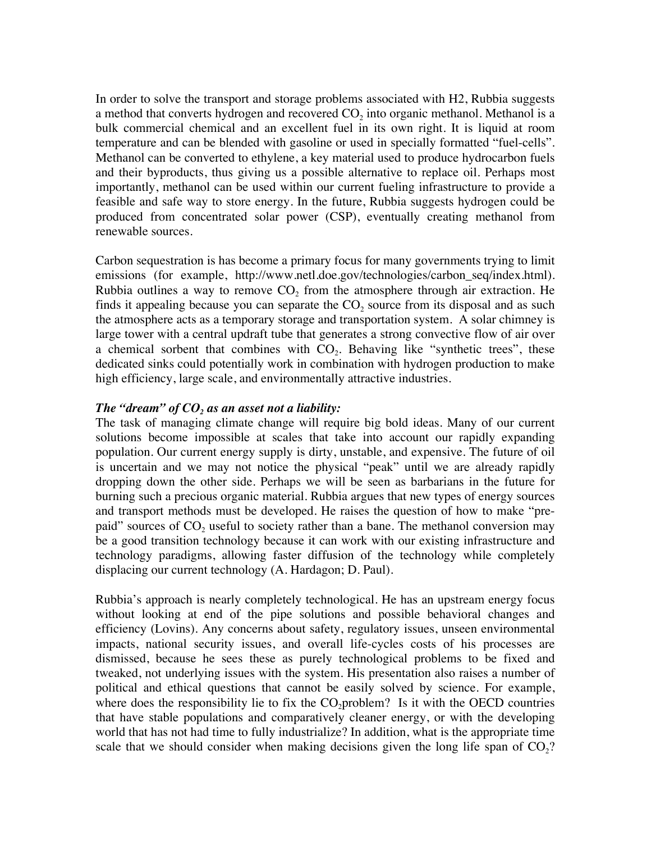In order to solve the transport and storage problems associated with H2, Rubbia suggests a method that converts hydrogen and recovered  $CO<sub>2</sub>$  into organic methanol. Methanol is a bulk commercial chemical and an excellent fuel in its own right. It is liquid at room temperature and can be blended with gasoline or used in specially formatted "fuel-cells". Methanol can be converted to ethylene, a key material used to produce hydrocarbon fuels and their byproducts, thus giving us a possible alternative to replace oil. Perhaps most importantly, methanol can be used within our current fueling infrastructure to provide a feasible and safe way to store energy. In the future, Rubbia suggests hydrogen could be produced from concentrated solar power (CSP), eventually creating methanol from renewable sources.

Carbon sequestration is has become a primary focus for many governments trying to limit emissions (for example, http://www.netl.doe.gov/technologies/carbon\_seq/index.html). Rubbia outlines a way to remove  $CO<sub>2</sub>$  from the atmosphere through air extraction. He finds it appealing because you can separate the  $CO<sub>2</sub>$  source from its disposal and as such the atmosphere acts as a temporary storage and transportation system. A solar chimney is large tower with a central updraft tube that generates a strong convective flow of air over a chemical sorbent that combines with  $CO<sub>2</sub>$ . Behaving like "synthetic trees", these dedicated sinks could potentially work in combination with hydrogen production to make high efficiency, large scale, and environmentally attractive industries.

### The "dream" of  $CO<sub>2</sub>$  as an asset not a liability:

The task of managing climate change will require big bold ideas. Many of our current solutions become impossible at scales that take into account our rapidly expanding population. Our current energy supply is dirty, unstable, and expensive. The future of oil is uncertain and we may not notice the physical "peak" until we are already rapidly dropping down the other side. Perhaps we will be seen as barbarians in the future for burning such a precious organic material. Rubbia argues that new types of energy sources and transport methods must be developed. He raises the question of how to make "prepaid" sources of  $CO<sub>2</sub>$  useful to society rather than a bane. The methanol conversion may be a good transition technology because it can work with our existing infrastructure and technology paradigms, allowing faster diffusion of the technology while completely displacing our current technology (A. Hardagon; D. Paul).

Rubbia's approach is nearly completely technological. He has an upstream energy focus without looking at end of the pipe solutions and possible behavioral changes and efficiency (Lovins). Any concerns about safety, regulatory issues, unseen environmental impacts, national security issues, and overall life-cycles costs of his processes are dismissed, because he sees these as purely technological problems to be fixed and tweaked, not underlying issues with the system. His presentation also raises a number of political and ethical questions that cannot be easily solved by science. For example, where does the responsibility lie to fix the  $CO_2$  problem? Is it with the OECD countries that have stable populations and comparatively cleaner energy, or with the developing world that has not had time to fully industrialize? In addition, what is the appropriate time scale that we should consider when making decisions given the long life span of  $CO<sub>2</sub>$ ?